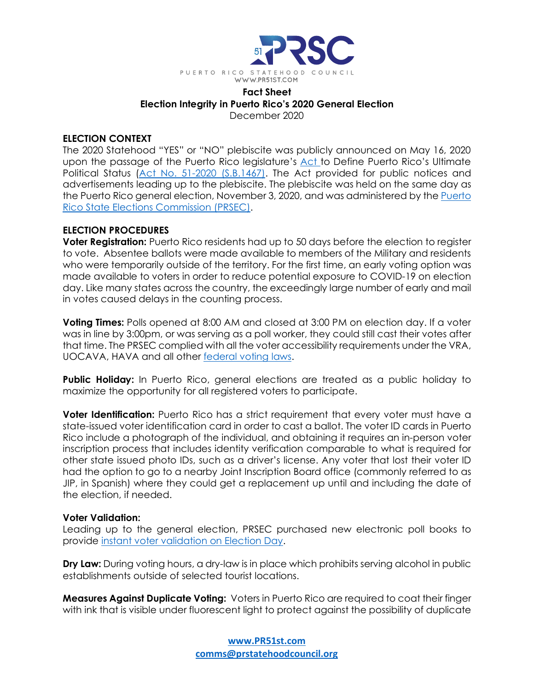

### **Fact Sheet Election Integrity in Puerto Rico's 2020 General Election** December 2020

### **ELECTION CONTEXT**

The 2020 Statehood "YES" or "NO" plebiscite was publicly announced on May 16, 2020 upon the passage of the Puerto Rico legislature's [Act](https://plebiscito2020.ceepur.org/en/docs/ActNo51-2020.pdf) to Define Puerto Rico's Ultimate Political Status (Act No. 51-2020 [\(S.B.1467\).](https://plebiscito2020.ceepur.org/en/docs/ActNo51-2020.pdf) The Act provided for public notices and advertisements leading up to the plebiscite. The plebiscite was held on the same day as the Puerto Rico general election, November 3, 2020, and was administered by the [Puerto](https://plebiscito2020.ceepur.org/en/index.html#f) Rico State Elections [Commission](https://plebiscito2020.ceepur.org/en/index.html#f) (PRSEC).

### **ELECTION PROCEDURES**

**Voter Registration:** Puerto Rico residents had up to 50 days before the election to register to vote. Absentee ballots were made available to members of the Military and residents who were temporarily outside of the territory. For the first time, an early voting option was made available to voters in order to reduce potential exposure to COVID-19 on election day. Like many states across the country, the exceedingly large number of early and mail in votes caused delays in the counting process.

**Voting Times:** Polls opened at 8:00 AM and closed at 3:00 PM on election day. If a voter was in line by 3:00pm, or was serving as a poll worker, they could still cast their votes after that time. The PRSEC complied with all the voter accessibility requirements under the VRA, UOCAVA, HAVA and all other [federal](https://www.usa.gov/voting-laws) voting laws.

**Public Holiday:** In Puerto Rico, general elections are treated as a public holiday to maximize the opportunity for all registered voters to participate.

**Voter Identification:** Puerto Rico has a strict requirement that every voter must have a state-issued voter identification card in order to cast a ballot. The voter ID cards in Puerto Rico include a photograph of the individual, and obtaining it requires an in-person voter inscription process that includes identity verification comparable to what is required for other state issued photo IDs, such as a driver's license. Any voter that lost their voter ID had the option to go to a nearby Joint Inscription Board office (commonly referred to as JIP, in Spanish) where they could get a replacement up until and including the date of the election, if needed.

# **Voter Validation:**

Leading up to the general election, PRSEC purchased new electronic poll books to provide instant voter [validation](https://www.eac.gov/videos/election-day-voter-registration) on Election Day.

**Dry Law:** During voting hours, a dry-law is in place which prohibits serving alcohol in public establishments outside of selected tourist locations.

**Measures Against Duplicate Voting:** Voters in Puerto Rico are required to coat their finger with ink that is visible under fluorescent light to protect against the possibility of duplicate